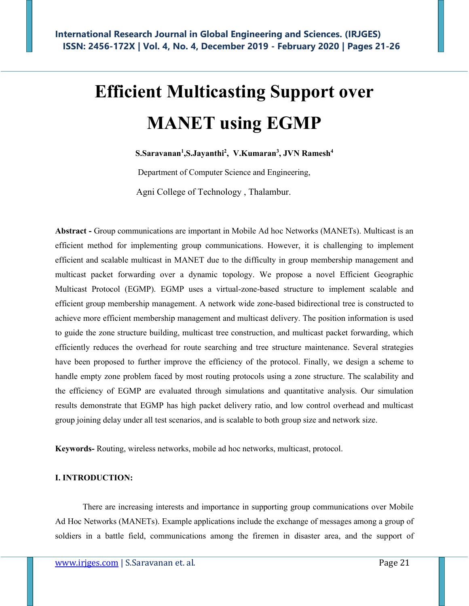# **Efficient Multicasting Support over MANET using EGMP**

**S.Saravanan<sup>1</sup> ,S.Jayanthi<sup>2</sup> , V.Kumaran<sup>3</sup> , JVN Ramesh<sup>4</sup>**

Department of Computer Science and Engineering,

Agni College of Technology , Thalambur.

**Abstract -** Group communications are important in Mobile Ad hoc Networks (MANETs). Multicast is an efficient method for implementing group communications. However, it is challenging to implement efficient and scalable multicast in MANET due to the difficulty in group membership management and multicast packet forwarding over a dynamic topology. We propose a novel Efficient Geographic Multicast Protocol (EGMP). EGMP uses a virtual-zone-based structure to implement scalable and efficient group membership management. A network wide zone-based bidirectional tree is constructed to achieve more efficient membership management and multicast delivery. The position information is used to guide the zone structure building, multicast tree construction, and multicast packet forwarding, which efficiently reduces the overhead for route searching and tree structure maintenance. Several strategies have been proposed to further improve the efficiency of the protocol. Finally, we design a scheme to handle empty zone problem faced by most routing protocols using a zone structure. The scalability and the efficiency of EGMP are evaluated through simulations and quantitative analysis. Our simulation results demonstrate that EGMP has high packet delivery ratio, and low control overhead and multicast group joining delay under all test scenarios, and is scalable to both group size and network size.

**Keywords-** Routing, wireless networks, mobile ad hoc networks, multicast, protocol.

# **I. INTRODUCTION:**

There are increasing interests and importance in supporting group communications over Mobile Ad Hoc Networks (MANETs). Example applications include the exchange of messages among a group of soldiers in a battle field, communications among the firemen in disaster area, and the support of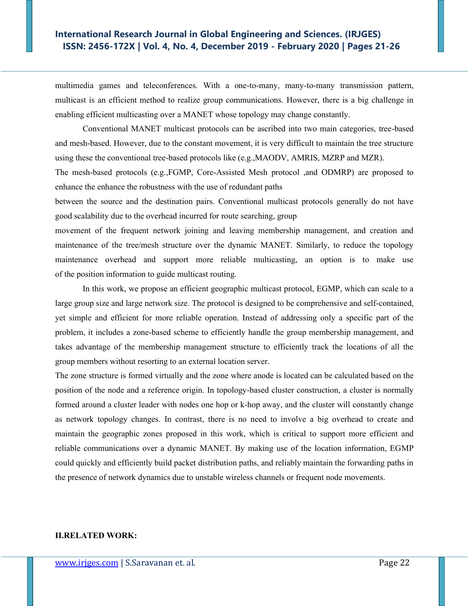multimedia games and teleconferences. With a one-to-many, many-to-many transmission pattern, multicast is an efficient method to realize group communications. However, there is a big challenge in enabling efficient multicasting over a MANET whose topology may change constantly.

Conventional MANET multicast protocols can be ascribed into two main categories, tree-based and mesh-based. However, due to the constant movement, it is very difficult to maintain the tree structure using these the conventional tree-based protocols like (e.g.,MAODV, AMRIS, MZRP and MZR).

The mesh-based protocols (e.g.,FGMP, Core-Assisted Mesh protocol ,and ODMRP) are proposed to enhance the enhance the robustness with the use of redundant paths

between the source and the destination pairs. Conventional multicast protocols generally do not have good scalability due to the overhead incurred for route searching, group

movement of the frequent network joining and leaving membership management, and creation and maintenance of the tree/mesh structure over the dynamic MANET. Similarly, to reduce the topology maintenance overhead and support more reliable multicasting, an option is to make use of the position information to guide multicast routing.

In this work, we propose an efficient geographic multicast protocol, EGMP, which can scale to a large group size and large network size. The protocol is designed to be comprehensive and self-contained, yet simple and efficient for more reliable operation. Instead of addressing only a specific part of the problem, it includes a zone-based scheme to efficiently handle the group membership management, and takes advantage of the membership management structure to efficiently track the locations of all the group members without resorting to an external location server.

The zone structure is formed virtually and the zone where anode is located can be calculated based on the position of the node and a reference origin. In topology-based cluster construction, a cluster is normally formed around a cluster leader with nodes one hop or k-hop away, and the cluster will constantly change as network topology changes. In contrast, there is no need to involve a big overhead to create and maintain the geographic zones proposed in this work, which is critical to support more efficient and reliable communications over a dynamic MANET. By making use of the location information, EGMP could quickly and efficiently build packet distribution paths, and reliably maintain the forwarding paths in the presence of network dynamics due to unstable wireless channels or frequent node movements.

#### **II.RELATED WORK:**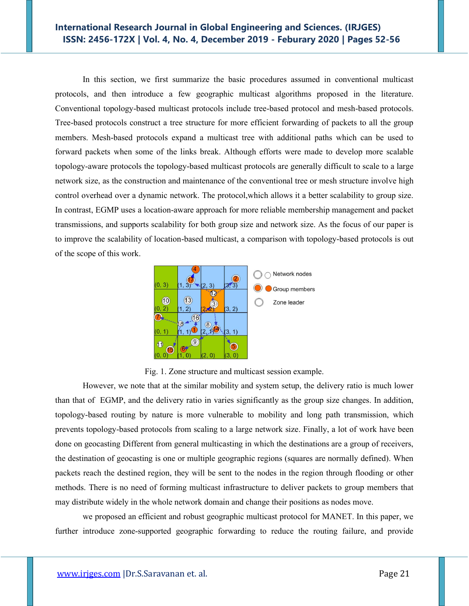In this section, we first summarize the basic procedures assumed in conventional multicast protocols, and then introduce a few geographic multicast algorithms proposed in the literature. Conventional topology-based multicast protocols include tree-based protocol and mesh-based protocols. Tree-based protocols construct a tree structure for more efficient forwarding of packets to all the group members. Mesh-based protocols expand a multicast tree with additional paths which can be used to forward packets when some of the links break. Although efforts were made to develop more scalable topology-aware protocols the topology-based multicast protocols are generally difficult to scale to a large network size, as the construction and maintenance of the conventional tree or mesh structure involve high control overhead over a dynamic network. The protocol,which allows it a better scalability to group size. In contrast, EGMP uses a location-aware approach for more reliable membership management and packet transmissions, and supports scalability for both group size and network size. As the focus of our paper is to improve the scalability of location-based multicast, a comparison with topology-based protocols is out of the scope of this work.



Fig. 1. Zone structure and multicast session example.

However, we note that at the similar mobility and system setup, the delivery ratio is much lower than that of EGMP, and the delivery ratio in varies significantly as the group size changes. In addition, topology-based routing by nature is more vulnerable to mobility and long path transmission, which prevents topology-based protocols from scaling to a large network size. Finally, a lot of work have been done on geocasting Different from general multicasting in which the destinations are a group of receivers, the destination of geocasting is one or multiple geographic regions (squares are normally defined). When packets reach the destined region, they will be sent to the nodes in the region through flooding or other methods. There is no need of forming multicast infrastructure to deliver packets to group members that may distribute widely in the whole network domain and change their positions as nodes move.

we proposed an efficient and robust geographic multicast protocol for MANET. In this paper, we further introduce zone-supported geographic forwarding to reduce the routing failure, and provide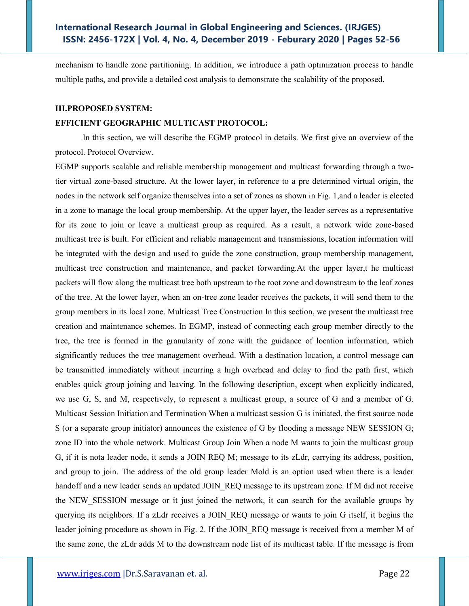mechanism to handle zone partitioning. In addition, we introduce a path optimization process to handle multiple paths, and provide a detailed cost analysis to demonstrate the scalability of the proposed.

#### **III.PROPOSED SYSTEM:**

#### **EFFICIENT GEOGRAPHIC MULTICAST PROTOCOL:**

In this section, we will describe the EGMP protocol in details. We first give an overview of the protocol. Protocol Overview.

EGMP supports scalable and reliable membership management and multicast forwarding through a twotier virtual zone-based structure. At the lower layer, in reference to a pre determined virtual origin, the nodes in the network self organize themselves into a set of zones as shown in Fig. 1,and a leader is elected in a zone to manage the local group membership. At the upper layer, the leader serves as a representative for its zone to join or leave a multicast group as required. As a result, a network wide zone-based multicast tree is built. For efficient and reliable management and transmissions, location information will be integrated with the design and used to guide the zone construction, group membership management, multicast tree construction and maintenance, and packet forwarding.At the upper layer,t he multicast packets will flow along the multicast tree both upstream to the root zone and downstream to the leaf zones of the tree. At the lower layer, when an on-tree zone leader receives the packets, it will send them to the group members in its local zone. Multicast Tree Construction In this section, we present the multicast tree creation and maintenance schemes. In EGMP, instead of connecting each group member directly to the tree, the tree is formed in the granularity of zone with the guidance of location information, which significantly reduces the tree management overhead. With a destination location, a control message can be transmitted immediately without incurring a high overhead and delay to find the path first, which enables quick group joining and leaving. In the following description, except when explicitly indicated, we use G, S, and M, respectively, to represent a multicast group, a source of G and a member of G. Multicast Session Initiation and Termination When a multicast session G is initiated, the first source node S (or a separate group initiator) announces the existence of G by flooding a message NEW SESSION G; zone ID into the whole network. Multicast Group Join When a node M wants to join the multicast group G, if it is nota leader node, it sends a JOIN REQ M; message to its zLdr, carrying its address, position, and group to join. The address of the old group leader Mold is an option used when there is a leader handoff and a new leader sends an updated JOIN\_REQ message to its upstream zone. If M did not receive the NEW\_SESSION message or it just joined the network, it can search for the available groups by querying its neighbors. If a zLdr receives a JOIN\_REQ message or wants to join G itself, it begins the leader joining procedure as shown in Fig. 2. If the JOIN\_REQ message is received from a member M of the same zone, the zLdr adds M to the downstream node list of its multicast table. If the message is from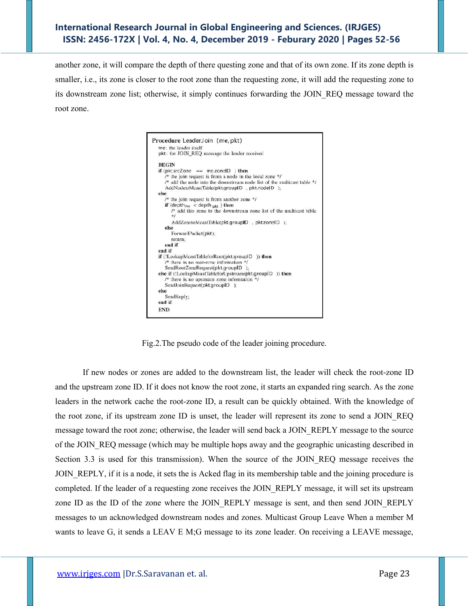# **International Research Journal in Global Engineering and Sciences. (IRJGES) ISSN: 2456-172X | Vol. 4, No. 4, December 2019 - Feburary 2020 | Pages 52-56**

another zone, it will compare the depth of there questing zone and that of its own zone. If its zone depth is smaller, i.e., its zone is closer to the root zone than the requesting zone, it will add the requesting zone to its downstream zone list; otherwise, it simply continues forwarding the JOIN\_REQ message toward the root zone.



Fig.2.The pseudo code of the leader joining procedure.

If new nodes or zones are added to the downstream list, the leader will check the root-zone ID and the upstream zone ID. If it does not know the root zone, it starts an expanded ring search. As the zone leaders in the network cache the root-zone ID, a result can be quickly obtained. With the knowledge of the root zone, if its upstream zone ID is unset, the leader will represent its zone to send a JOIN\_REQ message toward the root zone; otherwise, the leader will send back a JOIN\_REPLY message to the source of the JOIN\_REQ message (which may be multiple hops away and the geographic unicasting described in Section 3.3 is used for this transmission). When the source of the JOIN\_REQ message receives the JOIN REPLY, if it is a node, it sets the is Acked flag in its membership table and the joining procedure is completed. If the leader of a requesting zone receives the JOIN\_REPLY message, it will set its upstream zone ID as the ID of the zone where the JOIN\_REPLY message is sent, and then send JOIN\_REPLY messages to un acknowledged downstream nodes and zones. Multicast Group Leave When a member M wants to leave G, it sends a LEAV E M;G message to its zone leader. On receiving a LEAVE message,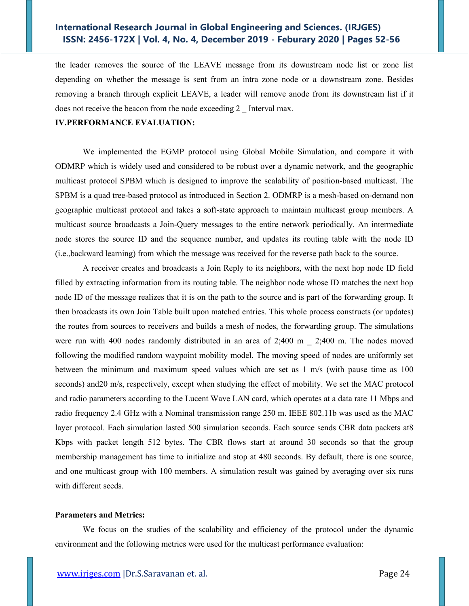# **International Research Journal in Global Engineering and Sciences. (IRJGES) ISSN: 2456-172X | Vol. 4, No. 4, December 2019 - Feburary 2020 | Pages 52-56**

the leader removes the source of the LEAVE message from its downstream node list or zone list depending on whether the message is sent from an intra zone node or a downstream zone. Besides removing a branch through explicit LEAVE, a leader will remove anode from its downstream list if it does not receive the beacon from the node exceeding 2 Linterval max.

#### **IV.PERFORMANCE EVALUATION:**

We implemented the EGMP protocol using Global Mobile Simulation, and compare it with ODMRP which is widely used and considered to be robust over a dynamic network, and the geographic multicast protocol SPBM which is designed to improve the scalability of position-based multicast. The SPBM is a quad tree-based protocol as introduced in Section 2. ODMRP is a mesh-based on-demand non geographic multicast protocol and takes a soft-state approach to maintain multicast group members. A multicast source broadcasts a Join-Query messages to the entire network periodically. An intermediate node stores the source ID and the sequence number, and updates its routing table with the node ID (i.e.,backward learning) from which the message was received for the reverse path back to the source.

A receiver creates and broadcasts a Join Reply to its neighbors, with the next hop node ID field filled by extracting information from its routing table. The neighbor node whose ID matches the next hop node ID of the message realizes that it is on the path to the source and is part of the forwarding group. It then broadcasts its own Join Table built upon matched entries. This whole process constructs (or updates) the routes from sources to receivers and builds a mesh of nodes, the forwarding group. The simulations were run with 400 nodes randomly distributed in an area of 2;400 m 2;400 m. The nodes moved following the modified random waypoint mobility model. The moving speed of nodes are uniformly set between the minimum and maximum speed values which are set as 1 m/s (with pause time as 100 seconds) and 20 m/s, respectively, except when studying the effect of mobility. We set the MAC protocol and radio parameters according to the Lucent Wave LAN card, which operates at a data rate 11 Mbps and radio frequency 2.4 GHz with a Nominal transmission range 250 m. IEEE 802.11b was used as the MAC layer protocol. Each simulation lasted 500 simulation seconds. Each source sends CBR data packets at8 Kbps with packet length 512 bytes. The CBR flows start at around 30 seconds so that the group membership management has time to initialize and stop at 480 seconds. By default, there is one source, and one multicast group with 100 members. A simulation result was gained by averaging over six runs with different seeds.

#### **Parameters and Metrics:**

We focus on the studies of the scalability and efficiency of the protocol under the dynamic environment and the following metrics were used for the multicast performance evaluation: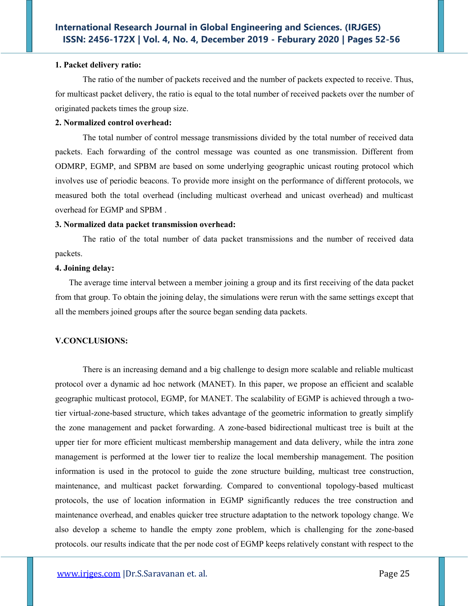#### **1. Packet delivery ratio:**

The ratio of the number of packets received and the number of packets expected to receive. Thus, for multicast packet delivery, the ratio is equal to the total number of received packets over the number of originated packets times the group size.

### **2. Normalized control overhead:**

The total number of control message transmissions divided by the total number of received data packets. Each forwarding of the control message was counted as one transmission. Different from ODMRP, EGMP, and SPBM are based on some underlying geographic unicast routing protocol which involves use of periodic beacons. To provide more insight on the performance of different protocols, we measured both the total overhead (including multicast overhead and unicast overhead) and multicast overhead for EGMP and SPBM .

## **3. Normalized data packet transmission overhead:**

The ratio of the total number of data packet transmissions and the number of received data packets.

# **4. Joining delay:**

The average time interval between a member joining a group and its first receiving of the data packet from that group. To obtain the joining delay, the simulations were rerun with the same settings except that all the members joined groups after the source began sending data packets.

## **V.CONCLUSIONS:**

There is an increasing demand and a big challenge to design more scalable and reliable multicast protocol over a dynamic ad hoc network (MANET). In this paper, we propose an efficient and scalable geographic multicast protocol, EGMP, for MANET. The scalability of EGMP is achieved through a twotier virtual-zone-based structure, which takes advantage of the geometric information to greatly simplify the zone management and packet forwarding. A zone-based bidirectional multicast tree is built at the upper tier for more efficient multicast membership management and data delivery, while the intra zone management is performed at the lower tier to realize the local membership management. The position information is used in the protocol to guide the zone structure building, multicast tree construction, maintenance, and multicast packet forwarding. Compared to conventional topology-based multicast protocols, the use of location information in EGMP significantly reduces the tree construction and maintenance overhead, and enables quicker tree structure adaptation to the network topology change. We also develop a scheme to handle the empty zone problem, which is challenging for the zone-based protocols. our results indicate that the per node cost of EGMP keeps relatively constant with respect to the